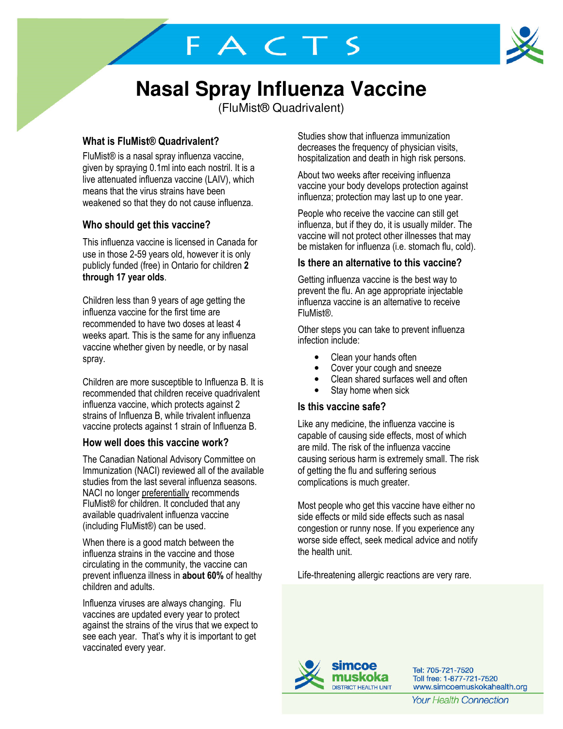FACTS



# **Nasal Spray Influenza Vaccine**

(FluMist® Quadrivalent)

# What is FluMist® Quadrivalent?

FluMist® is a nasal spray influenza vaccine, given by spraying 0.1ml into each nostril. It is a live attenuated influenza vaccine (LAIV), which means that the virus strains have been weakened so that they do not cause influenza.

# Who should get this vaccine?

This influenza vaccine is licensed in Canada for use in those 2-59 years old, however it is only publicly funded (free) in Ontario for children 2 through 17 year olds.

Children less than 9 years of age getting the influenza vaccine for the first time are recommended to have two doses at least 4 weeks apart. This is the same for any influenza vaccine whether given by needle, or by nasal spray.

Children are more susceptible to Influenza B. It is recommended that children receive quadrivalent influenza vaccine, which protects against 2 strains of Influenza B, while trivalent influenza vaccine protects against 1 strain of Influenza B.

# How well does this vaccine work?

The Canadian National Advisory Committee on Immunization (NACI) reviewed all of the available studies from the last several influenza seasons. NACI no longer preferentially recommends FluMist® for children. It concluded that any available quadrivalent influenza vaccine (including FluMist®) can be used.

When there is a good match between the influenza strains in the vaccine and those circulating in the community, the vaccine can prevent influenza illness in about 60% of healthy children and adults.

Influenza viruses are always changing. Flu vaccines are updated every year to protect against the strains of the virus that we expect to see each year. That's why it is important to get vaccinated every year.

Studies show that influenza immunization decreases the frequency of physician visits, hospitalization and death in high risk persons.

About two weeks after receiving influenza vaccine your body develops protection against influenza; protection may last up to one year.

People who receive the vaccine can still get influenza, but if they do, it is usually milder. The vaccine will not protect other illnesses that may be mistaken for influenza (i.e. stomach flu, cold).

## Is there an alternative to this vaccine?

Getting influenza vaccine is the best way to prevent the flu. An age appropriate injectable influenza vaccine is an alternative to receive FluMist®.

Other steps you can take to prevent influenza infection include:

- Clean your hands often
- Cover your cough and sneeze
- Clean shared surfaces well and often
- Stay home when sick

## Is this vaccine safe?

Like any medicine, the influenza vaccine is capable of causing side effects, most of which are mild. The risk of the influenza vaccine causing serious harm is extremely small. The risk of getting the flu and suffering serious complications is much greater.

Most people who get this vaccine have either no side effects or mild side effects such as nasal congestion or runny nose. If you experience any worse side effect, seek medical advice and notify the health unit.

Life-threatening allergic reactions are very rare.



Tel: 705-721-7520 Toll free: 1-877-721-7520 www.simcoemuskokahealth.org

**Your Health Connection**